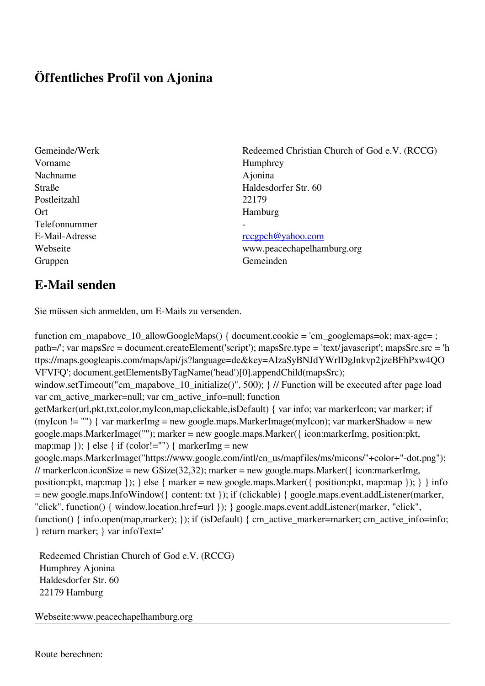## **Öffentliches Profil von Ajonina**

Vorname Humphrey Nachname Ajonina Postleitzahl 22179 Ort Hamburg Telefonnummer - Gruppen Gemeinden Gemeinden Gemeinden Gemeinden Gemeinden Gemeinden Gemeinden Gemeinden Gemeinden Gemeinden G

Gemeinde/Werk Redeemed Christian Church of God e.V. (RCCG) Straße Haldesdorfer Str. 60

## E-Mail-Adresse [rccgpch@yahoo.com](mailto:rccgpch@yahoo.com)

Webseite www.peacechapelhamburg.org

## **E-Mail senden**

Sie müssen sich anmelden, um E-Mails zu versenden.

function cm\_mapabove\_10\_allowGoogleMaps() { document.cookie = 'cm\_googlemaps=ok; max-age= ; path=/'; var mapsSrc = document.createElement('script'); mapsSrc.type = 'text/javascript'; mapsSrc.src = 'h ttps://maps.googleapis.com/maps/api/js?language=de&key=AIzaSyBNJdYWrIDgJnkvp2jzeBFhPxw4QO VFVFQ'; document.getElementsByTagName('head')[0].appendChild(mapsSrc); window.setTimeout("cm\_mapabove\_10\_initialize()", 500); } // Function will be executed after page load var cm\_active\_marker=null; var cm\_active\_info=null; function getMarker(url,pkt,txt,color,myIcon,map,clickable,isDefault) { var info; var markerIcon; var marker; if (myIcon != "") { var markerImg = new google.maps.MarkerImage(myIcon); var markerShadow = new google.maps.MarkerImage(""); marker = new google.maps.Marker({ icon:markerImg, position:pkt, map:map  $\}$ ;  $\}$  else  $\{$  if (color!="")  $\{$  markerImg = new google.maps.MarkerImage("https://www.google.com/intl/en\_us/mapfiles/ms/micons/"+color+"-dot.png"); // markerIcon.iconSize = new GSize(32,32); marker = new google.maps.Marker( $\{$  icon:markerImg, position:pkt, map:map }); } else { marker = new google.maps.Marker({ position:pkt, map:map }); } } info = new google.maps.InfoWindow({ content: txt }); if (clickable) { google.maps.event.addListener(marker, "click", function() { window.location.href=url }); } google.maps.event.addListener(marker, "click", function() { info.open(map,marker); }); if (isDefault) { cm\_active\_marker=marker; cm\_active\_info=info; } return marker; } var infoText='

 Redeemed Christian Church of God e.V. (RCCG) Humphrey Ajonina Haldesdorfer Str. 60 22179 Hamburg

Webseite:www.peacechapelhamburg.org